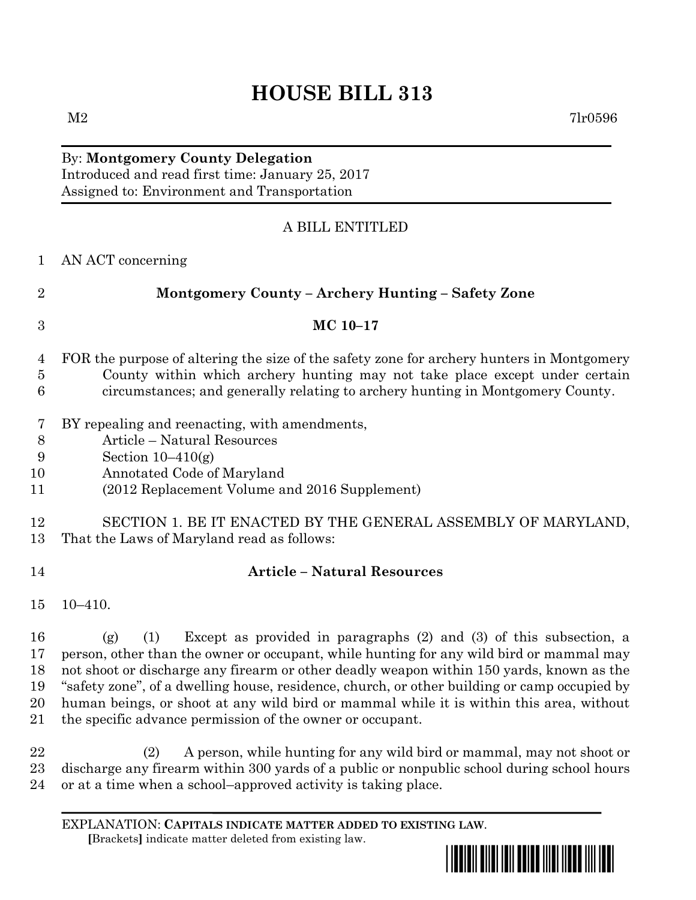## **HOUSE BILL 313**

## By: **Montgomery County Delegation** Introduced and read first time: January 25, 2017 Assigned to: Environment and Transportation

## A BILL ENTITLED

| $\mathbf{1}$             | AN ACT concerning                                                                                                                                                                                                                                                                                  |
|--------------------------|----------------------------------------------------------------------------------------------------------------------------------------------------------------------------------------------------------------------------------------------------------------------------------------------------|
| $\overline{2}$           | Montgomery County – Archery Hunting – Safety Zone                                                                                                                                                                                                                                                  |
| 3                        | MC 10-17                                                                                                                                                                                                                                                                                           |
| 4<br>$\overline{5}$<br>6 | FOR the purpose of altering the size of the safety zone for archery hunters in Montgomery<br>County within which archery hunting may not take place except under certain<br>circumstances; and generally relating to archery hunting in Montgomery County.                                         |
| 7<br>8<br>9<br>10<br>11  | BY repealing and reenacting, with amendments,<br>Article - Natural Resources<br>Section $10-410(g)$<br>Annotated Code of Maryland<br>(2012 Replacement Volume and 2016 Supplement)                                                                                                                 |
| 12<br>13                 | SECTION 1. BE IT ENACTED BY THE GENERAL ASSEMBLY OF MARYLAND,<br>That the Laws of Maryland read as follows:                                                                                                                                                                                        |
| 14                       | <b>Article - Natural Resources</b>                                                                                                                                                                                                                                                                 |
| 15                       | $10 - 410.$                                                                                                                                                                                                                                                                                        |
| 16<br>17                 | Except as provided in paragraphs $(2)$ and $(3)$ of this subsection, a<br>(1)<br>(g)<br>person, other than the owner or occupant, while hunting for any wild bird or mammal may<br>the contract of the contract of the contract of the contract of the contract of the contract of the contract of |

 not shoot or discharge any firearm or other deadly weapon within 150 yards, known as the "safety zone", of a dwelling house, residence, church, or other building or camp occupied by human beings, or shoot at any wild bird or mammal while it is within this area, without the specific advance permission of the owner or occupant.

 (2) A person, while hunting for any wild bird or mammal, may not shoot or discharge any firearm within 300 yards of a public or nonpublic school during school hours or at a time when a school–approved activity is taking place.

EXPLANATION: **CAPITALS INDICATE MATTER ADDED TO EXISTING LAW**.  **[**Brackets**]** indicate matter deleted from existing law.